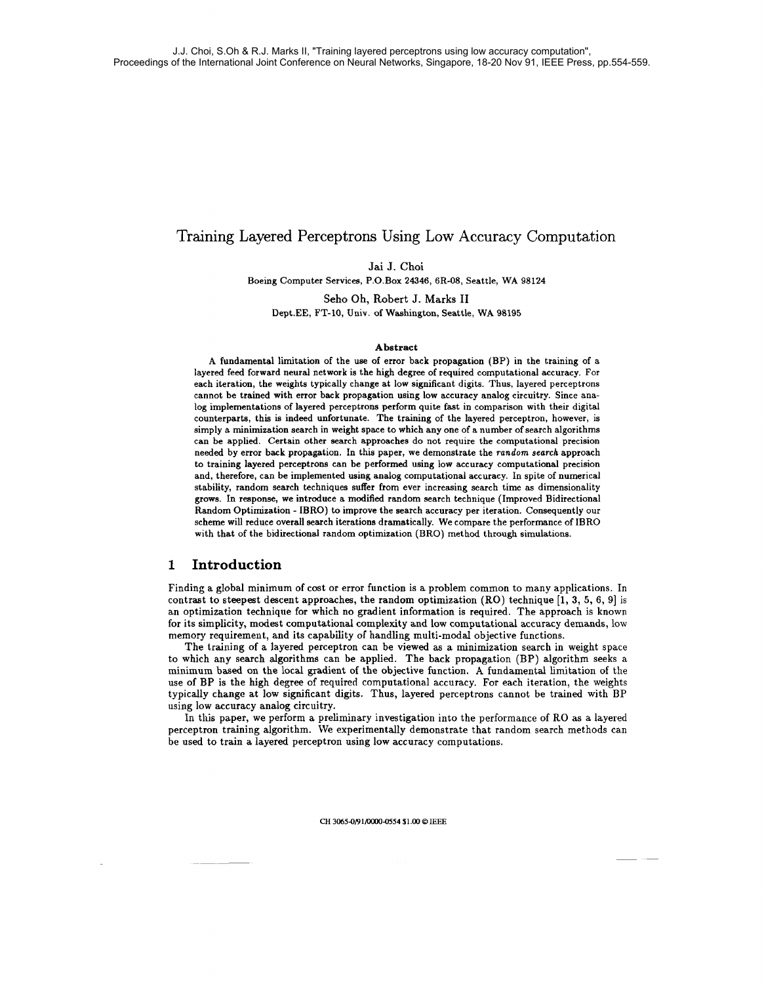# Training Layered Perceptrons Using Low Accuracy Computation

**Jai** J. Choi

Boeing Computer Services, P.O.Box **24346, 6R-08,** Seattle, WA **98124** 

Seho Oh, Robert J. Marks **I1**  Dept.EE, **FT-10,** Univ. of Washington, Seattle, WA **98195** 

#### Abstract

A fundamental limitation of the use of error back propagation (BP) in the training of a layered feed forward neural network is the high degree of required computational accuracy. For each iteration, the weights typically change at low significant digits. Thus, layered perceptrons cannot be trained with error back propagation using low accuracy analog circuitry. Since analog implementations of layered perceptrons perform quite fast in comparison with their digital counterparts, this is indeed unfortunate. The training of the layered perceptron, however, is simply a minimization search in weight space to which any one of a number of search algorithms can be applied. Certain other search approaches do not require the computational precision needed by error back propagation. In this paper, we demonstrate the random search approach to training layered perceptrons can be performed using low accuracy computational precision and, therefore, can be implemented using analog computational accuracy. In spite of numerical stability, random search techniques suffer from ever increasing search time as dimensionality grows. In response, we introduce a modified random search technique (Improved Bidirectional Random Optimization - IBRO) to improve the search accuracy per iteration. Consequently our scheme will reduce overall search iterations dramatically. We compare the performance of IBRO with that of the bidirectional random optimization **(BRO)** method through simulations.

#### **1 Introduction**

Finding a global minimum of cost or error function is a problem common to many applications. In contrast to steepest descent approaches, the random optimization  $(RO)$  technique  $[1, 3, 5, 6, 9]$  is an optimization technique for which no gradient information is required. The approach is known for its simplicity, modest computational complexity and low computational accuracy demands, low memory requirement, and its capability of handling multi-modal objective functions.

The training of a layered perceptron can be viewed as a minimization search in weight space to which any search algorithms can be applied. The back propagation (BP) algorithm seeks a minimum **based** on the local gradient of the objective function. A fundamental limitation of the use of BP is the high degree of required computational accuracy. For each iteration, the weights typically change at low significant digits. Thus, layered perceptrons cannot be trained with BP using low accuracy analog circuitry.

In this paper, we perform a preliminary investigation into the performance of RO as a layered perceptron training algorithm. We experimentally demonstrate that random search methods can be used to train a layered perceptron using low accuracy computations.

**CH 3065-0/91/00000554 \$1.00 O IEEE**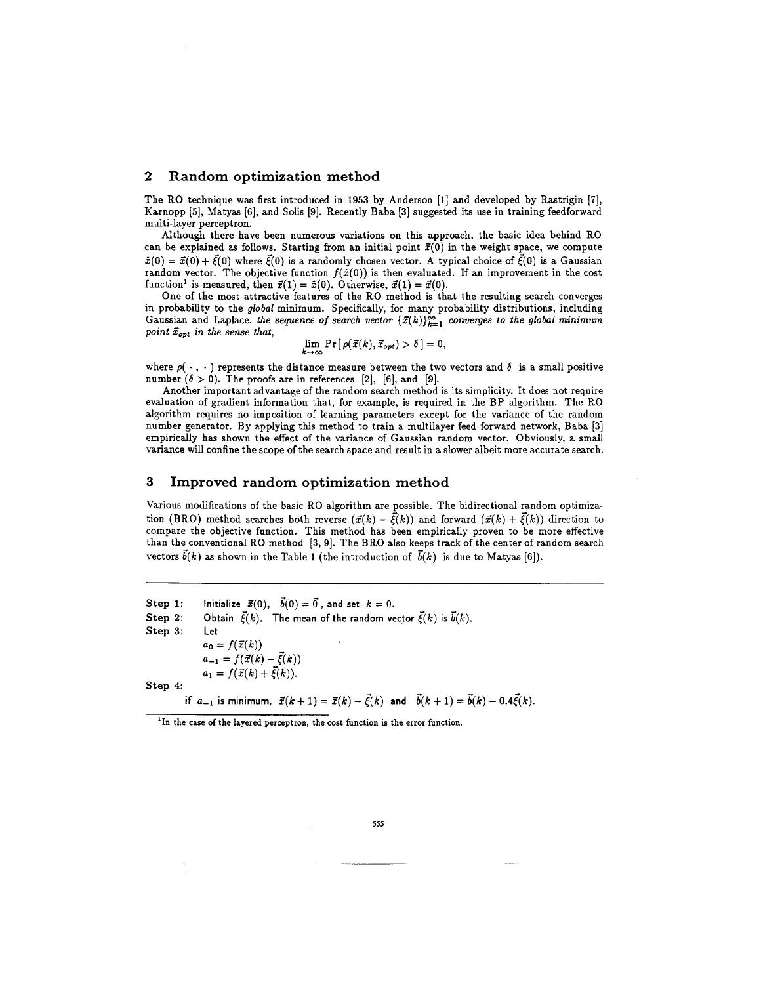### **2 Random optimization method**

The RO technique was first introduced in 1953 by Anderson [l] and developed by Rastrigin [7], Karnopp [5], Matyas [6], and Solis [9]. Recently Baba [3] suggested its use in training feedforward multi-layer perceptron.

Although there have been numerous variations on this approach, the basic idea behind RO can be explained as follows. Starting from an initial point  $\vec{x}(0)$  in the weight space, we compute  $\hat{x}(0) = \vec{x}(0) + \vec{\xi}(0)$  where  $\vec{\xi}(0)$  is a randomly chosen vector. A typical choice of  $\vec{\xi}(0)$  is a Gaussian random vector. The objective function  $f(\tilde{x}(0))$  is then evaluated. If an improvement in the cost function<sup>1</sup> is measured, then  $\vec{x}(1) = \hat{x}(0)$ . Otherwise,  $\vec{x}(1) = \vec{x}(0)$ .

One of the most attractive features of the RO method is that the resulting search converges in probability to the global minimum. Specifically, for many probability distributions, including Gaussian and Laplace, the sequence of search vector  $\{\vec{x}(k)\}_{k=1}^{\infty}$  converges to the global minimum point  $\vec{x}_{opt}$  in the sense that,

$$
\lim_{k\to\infty}\Pr[\,\rho(\vec{x}(k),\vec{x}_{opt})>\delta\,]=0,
$$

where  $p(\cdot, \cdot)$  represents the distance measure between the two vectors and  $\delta$  is a small positive number  $(\delta > 0)$ . The proofs are in references [2], [6], and [9].

Another important advantage of the random search method is its simplicity. It does not require evaluation of gradient information that, for example, is required in the BP algorithm. The RO algorithm requires no imposition of learning parameters except for the variance of the random number generator. By applying this method to train a multilayer feed forward network, Baba [3] empirically has shown the effect of the variance of Gaussian random vector. Obviously, a small variance will confine the scope of the search space and result in a slower albeit more accurate search.

## **3 Improved random optimization method**

Various modifications of the basic RO algorithm are possible. The bidirectional random optimization (BRO) method searches both reverse  $(\vec{x}(k) - \vec{\xi}(k))$  and forward  $(\vec{x}(k) + \vec{\xi}(k))$  direction to compare the objective function. This method has been empirically proven to be more effective than the conventional RO method [3,9]. The BRO also keeps track of the center of random search vectors  $\vec{b}(k)$  as shown in the Table 1 (the introduction of  $\vec{b}(k)$  is due to Matyas [6]).

Step 1: Initialize  $\vec{x}(0)$ ,  $\vec{b}(0) = \vec{0}$ , and set  $k = 0$ .<br>Step 2: Obtain  $\vec{\xi}(k)$ . The mean of the random ve Obtain  $\vec{\xi}(k)$ . The mean of the random vector  $\vec{\xi}(k)$  is  $\vec{b}(k)$ . Step 3: Let  $a_0 = f(\vec{x}(k))$  $a_{-1} = f(\vec{x}(k) - \vec{\xi}(k))$  $a_1 = f(\vec{x}(k) + \vec{\xi}(k)).$ Step 4: if  $a_{-1}$  is minimum,  $\vec{x}(k + 1) = \vec{x}(k) - \vec{\xi}(k)$  and  $\vec{b}(k + 1) = \vec{b}(k) - 0.4\vec{\xi}(k)$ .

<sup>1</sup>In the case of the layered perceptron, the cost function is the error function.

 $\overline{\phantom{a}}$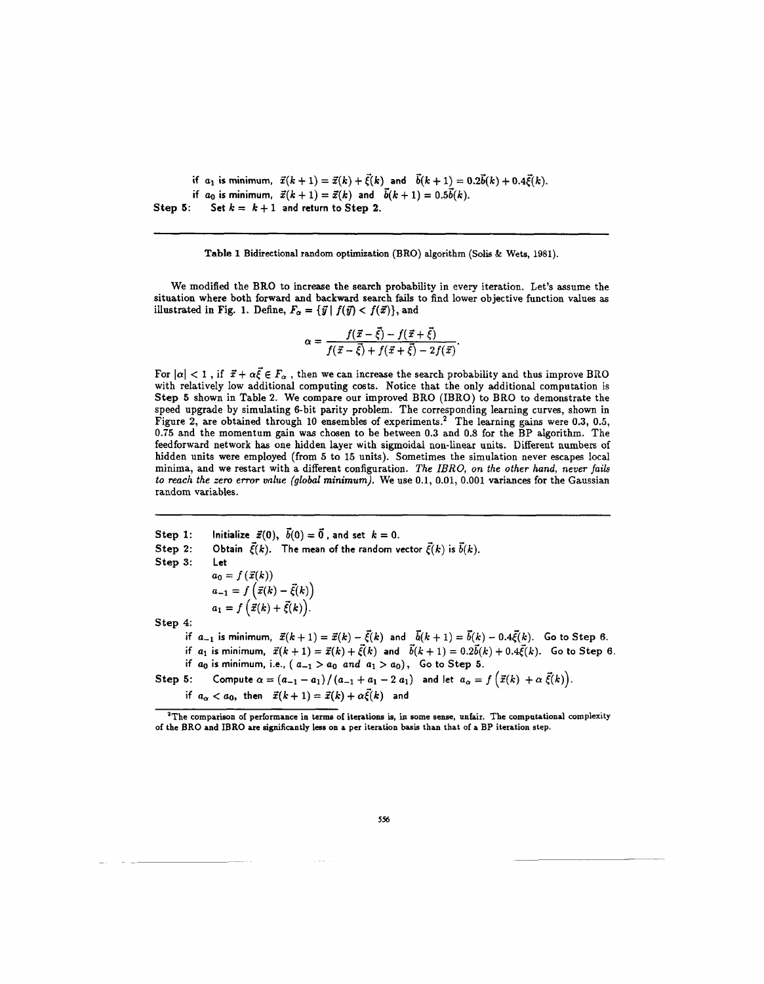if  $a_1$  is minimum,  $\vec{x}(k+1) = \vec{x}(k) + \vec{\xi}(k)$  and  $\vec{b}(k+1) = 0.2\vec{b}(k) + 0.4\vec{\xi}(k)$ . if  $a_0$  is minimum,  $\vec{x}(k+1) = \vec{x}(k)$  and  $\vec{b}(k+1) = 0.5\vec{b}(k)$ .<br>Step 5: Set  $k = k+1$  and return to Step 2. Set  $k = k + 1$  and return to Step 2.

Table 1 Bidirectional random optimization *(BRO)* algorithm (Solis & Wets, 1981).

We modified the *BRO* to increase the search probability in every iteration. Let's assume the situation where both forward and backward search fails to find lower objective function values as illustrated in Fig. 1. Define,  $F_{\alpha} = {\{\vec{y} | f(\vec{y}) < f(\vec{x})\}}$ , and

$$
\alpha = \frac{f(\vec{x} - \vec{\xi}) - f(\vec{x} + \vec{\xi})}{f(\vec{x} - \vec{\xi}) + f(\vec{x} + \vec{\xi}) - 2f(\vec{x})}.
$$

For  $|\alpha| < 1$ , if  $\vec{x} + \alpha \vec{\xi} \in F_\alpha$ , then we can increase the search probability and thus improve BRO with relatively low additional computing costs. Notice that the only additional computation is Step 5 shown in Table 2. We compare our improved *BRO (IBRO)* to *BRO* to demonstrate the speed upgrade by simulating 6-bit parity problem. The corresponding learning curves, shown in Figure 2, are obtained through 10 ensembles of experiments.<sup>2</sup> The learning gains were 0.3, 0.5, *0.75* and the momentum gain was chosen to be between *0.3* and *0.8* for the *BP* algorithm. The feedforward network has one hidden layer with sigmoidal non-linear units. Different numbers of hidden units were employed (from **5** to *15* units). Sometimes the simulation never escapes local minima, and we restart with a different configuration. *The* IBRO, *on the other hand, never fails to reach the* zero *error value (global* minimum). We use *0.1, 0.01, 0.001* variances for the Gaussian random variables.

Step 1: Initialize  $\vec{x}(0), \vec{b}(0) = \vec{0}$ , and set  $k = 0$ .<br>Step 2: Obtain  $\vec{\xi}(k)$ . The mean of the random v Obtain  $\vec{\xi}(k)$ . The mean of the random vector  $\vec{\xi}(k)$  is  $\vec{b}(k)$ .<br>Let Step 3:  $a_0 = f(\vec{x}(k))$  $a_{-1} = f(\vec{x}(k) - \vec{\xi}(k))$  $a_1 = f(\vec{x}(k) + \vec{\xi}(k)).$ Step 4: if  $a_{-1}$  is minimum,  $\vec{x}(k+1) = \vec{x}(k) - \vec{\xi}(k)$  and  $\vec{b}(k+1) = \vec{b}(k) - 0.4\vec{\xi}(k)$ . Go to Step 6. if  $a_1$  is minimum,  $\vec{x}(k+1) = \vec{x}(k) + \vec{\xi}(k)$  and  $\vec{b}(k+1) = 0.2\vec{b}(k) + 0.4\vec{\xi}(k)$ . Go to Step 6. if  $a_0$  is minimum, i.e.,  $(a_{-1} > a_0 \text{ and } a_1 > a_0)$ , Go to Step 5. Step 5: Compute  $\alpha = (a_{-1} - a_1) / (a_{-1} + a_1 - 2 a_1)$  and let  $a_{\alpha} = f(\vec{x}(k) + \alpha \vec{\xi}(k)).$ if  $a_{\alpha} < a_0$ , then  $\vec{x}(k+1) = \vec{x}(k) + \alpha \vec{\xi}(k)$  and

<sup>&</sup>lt;sup>2</sup>The comparison of performance in terms of iterations is, in some sense, unfair. The computational complexity **of the** BRO **and** IBRO **are significantly less on a per iteration** basii **than that of a** BP **iteration step.**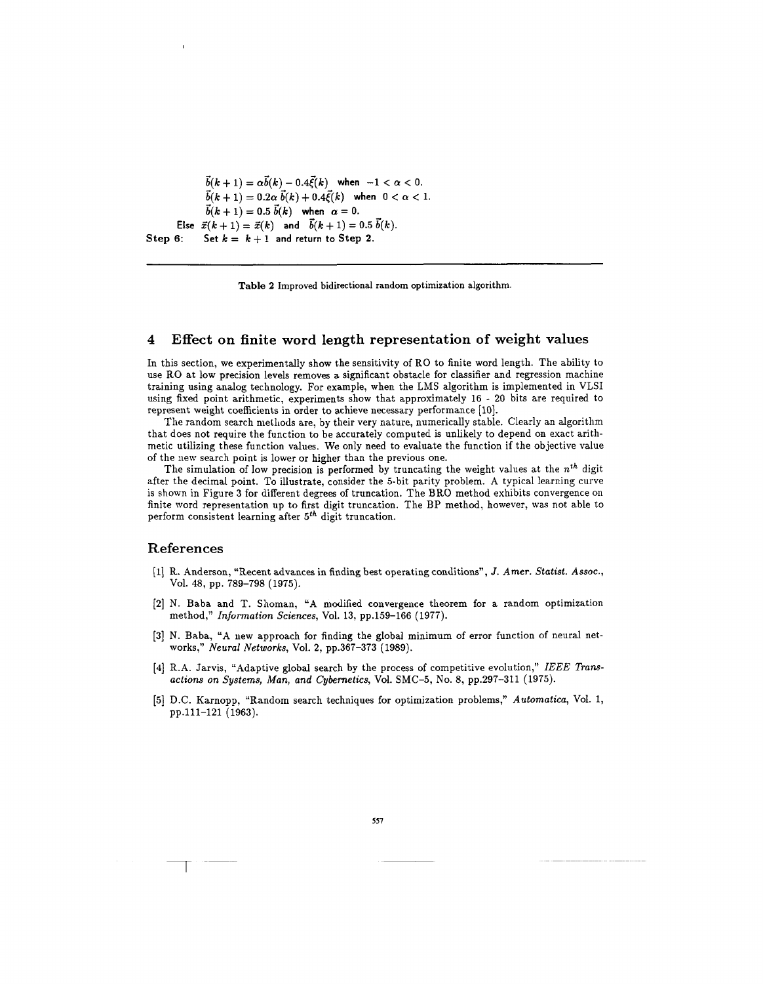$\vec{b}(k+1) = \alpha \vec{b}(k) - 0.4\vec{\xi}(k)$  when  $-1 < \alpha < 0$ .  $\vec{b}(k + 1) = 0.2\alpha \, \vec{b}(k) + 0.4\vec{f}(k)$  when  $0 < \alpha < 1$ .  $\vec{b}(k+1) = 0.5 \ \vec{b}(k)$  when  $\alpha = 0$ . Else  $\vec{x}(k+1) = \vec{x}(k)$  and  $\vec{b}(k+1) = 0.5 \vec{b}(k)$ .<br>Step 6: Set  $k = k+1$  and return to Step 2. Set  $k = k + 1$  and return to Step 2.

**Table 2** Improved bidirectional random optimization algorithm.

# **4 Effect on finite word length representation of weight values**

In this section, we experimentally show the sensitivity of RO to finite word length. The ability to use RO at low precision levels removes a significant obstacle for classifier and regression machine training using analog technology. For example, when the LMS algorithm is implemented in VLSI using fixed point arithmetic, experiments show that approximately 16 - 20 bits are required to represent weight coefficients in order to achieve necessary performance [10].

The random search methods are, by their very nature, numerically stable. Clearly an algorithm that does not require the function to be accurately computed is unlikely to depend on exact arithmetic utilizing these function values. We only need to evaluate the function if the objective value of the new search point is lower or higher than the previous one.

The simulation of low precision is performed by truncating the weight values at the *nth* digit after the decimal point. To illustrate, consider the 5-bit parity problem. A typical learning curve is shown in Figure 3 for different degrees of truncation. The BRO method exhibits convergence on finite word representation up to first digit truncation. The BP method, however, was not able to perform consistent learning after 5<sup>th</sup> digit truncation.

### **References**

- [l] R. Anderson, "Recent advances in finding best operating conditions", J. Amer. Statist. Assoc., Vol. 48, pp. 789-798 (1975).
- [2] N. Baba and T. Shoman, "A modified convergence theorem for a random optimization method," Information Sciences, Vol. 13, pp.159-166 (1977).
- [3] N. Baba, "A new approach for finding the global minimum of error function of neural networks," Neural Networks, Vol. 2, pp.367-373 (1989).
- [4] R.A. Jarvis, "Adaptive global search by the process of competitive evolution," IEEE Transactions on Systems, Man, and Cybernetics, Vol. SMC-5, No. 8, pp.297-311 (1975).
- [5] **D.C.** Karnopp, "Random search techniques for optimization problems," Automatica, Vol. 1, pp.111-121 (1963).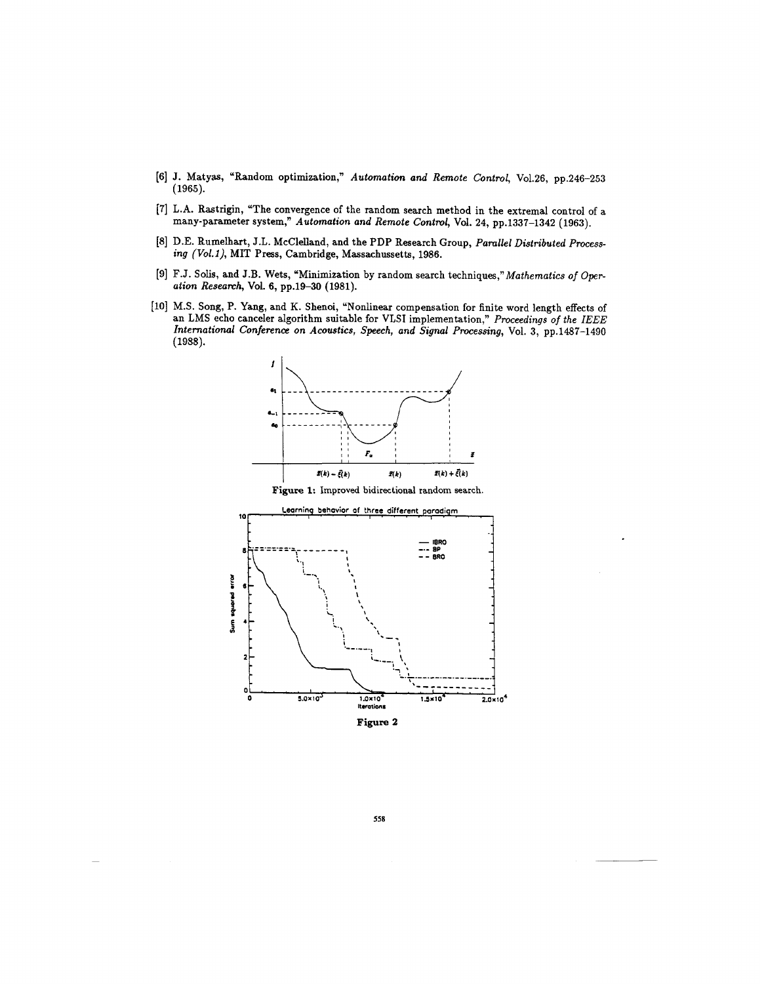- [6] J. Matyas, "Random optimization," Automation and Remote Control, Vo1.26, pp.246-253 (1965).
- [7] L.A. Rastrigin, "The convergence of the random search method in the extremal control of a many-parameter system," Automation and Remote Control, Vol. 24, pp.1337-1342 (1963).
- [8] D.E. Rumelhart, J.L. McClelland, and the PDP Research Group, Parallel Distributed Processing (Vol.l), **MIT** Press, Cambridge, Massachussetts, 1986.
- [9] F.J. Solis, and J.B. Wets, "Minimization by random search techniques," Mathematics of Operation Research, Vol. 6, pp.19-30 (1981).
- [lo] M.S. Song, P. Yang, and K. Shenoi, "Nonlinear compensation for finite word length effects of an LMS echo canceler algorithm suitable for VLSI implementation," Proceedings of the IEEE International Conference on Acoustics, Speech, and Signal Processing, Vol. 3, pp.1487-1490 (1958).



**Figure 2**